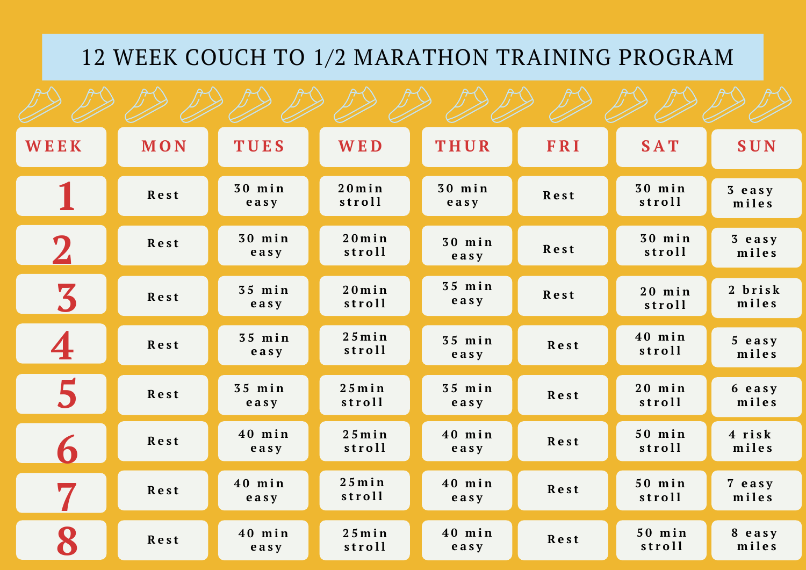## 12 WEEK COUCH TO 1/2 MARATHON TRAINING PROGRAM

| WEEK             | MON  | TUES             | <b>WED</b>       | THUR             | FRI  | <b>SAT</b>         | SUN               |
|------------------|------|------------------|------------------|------------------|------|--------------------|-------------------|
|                  | Rest | $30$ min<br>easy | 20min<br>stroll  | 30 min<br>easy   | Rest | $30$ min<br>stroll | 3 easy<br>miles   |
| $\mathbf 2$      | Rest | $30$ min<br>easy | 20min<br>stroll  | $30$ min<br>easy | Rest | $30$ min<br>stroll | 3 easy<br>miles   |
| 3                | Rest | $35$ min<br>easy | 20min<br>stroll  | $35$ min<br>easy | Rest | $20$ min<br>stroll | 2 brisk<br>miles  |
| 4                | Rest | $35$ min<br>easy | 25min<br>stroll  | $35$ min<br>easy | Rest | $40$ min<br>stroll | $5$ easy<br>miles |
| 5                | Rest | $35$ min<br>easy | 25min<br>stroll  | $35$ min<br>easy | Rest | $20$ min<br>stroll | 6 easy<br>miles   |
| 6                | Rest | $40$ min<br>easy | 25 min<br>stroll | $40$ min<br>easy | Rest | $50$ min<br>stroll | 4 risk<br>miles   |
| $\boldsymbol{7}$ | Rest | 40 min<br>easy   | 25 min<br>stroll | $40$ min<br>easy | Rest | $50$ min<br>stroll | 7 easy<br>miles   |
| 8                | Rest | $40$ min<br>easy | 25min<br>stroll  | $40$ min<br>easy | Rest | $50$ min<br>stroll | 8 easy<br>miles   |